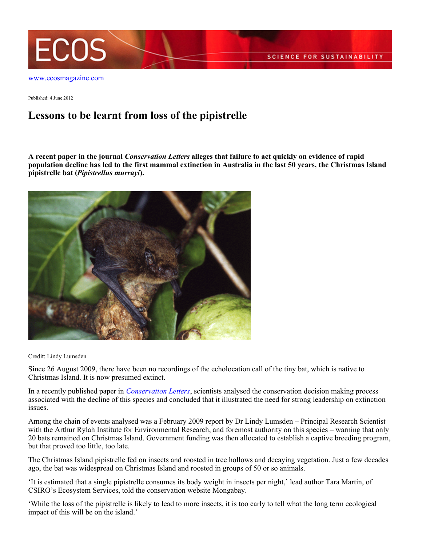

Published: 4 June 2012

## **Lessons to be learnt from loss of the pipistrelle**

**A recent paper in the journal** *Conservation Letters* **alleges that failure to act quickly on evidence of rapid population decline has led to the first mammal extinction in Australia in the last 50 years, the Christmas Island pipistrelle bat (***Pipistrellus murrayi***).**



Credit: Lindy Lumsden

Since 26 August 2009, there have been no recordings of the echolocation call of the tiny bat, which is native to Christmas Island. It is now presumed extinct.

In a recently published paper in *[Conservation Letters](http://onlinelibrary.wiley.com/doi/10.1111/j.1755-263X.2012.00239.x/full)*, scientists analysed the conservation decision making process associated with the decline of this species and concluded that it illustrated the need for strong leadership on extinction issues.

Among the chain of events analysed was a February 2009 report by Dr Lindy Lumsden – Principal Research Scientist with the Arthur Rylah Institute for Environmental Research, and foremost authority on this species – warning that only 20 bats remained on Christmas Island. Government funding was then allocated to establish a captive breeding program, but that proved too little, too late.

The Christmas Island pipistrelle fed on insects and roosted in tree hollows and decaying vegetation. Just a few decades ago, the bat was widespread on Christmas Island and roosted in groups of 50 or so animals.

'It is estimated that a single pipistrelle consumes its body weight in insects per night,' lead author Tara Martin, of CSIRO's Ecosystem Services, told the conservation website Mongabay.

'While the loss of the pipistrelle is likely to lead to more insects, it is too early to tell what the long term ecological impact of this will be on the island.'